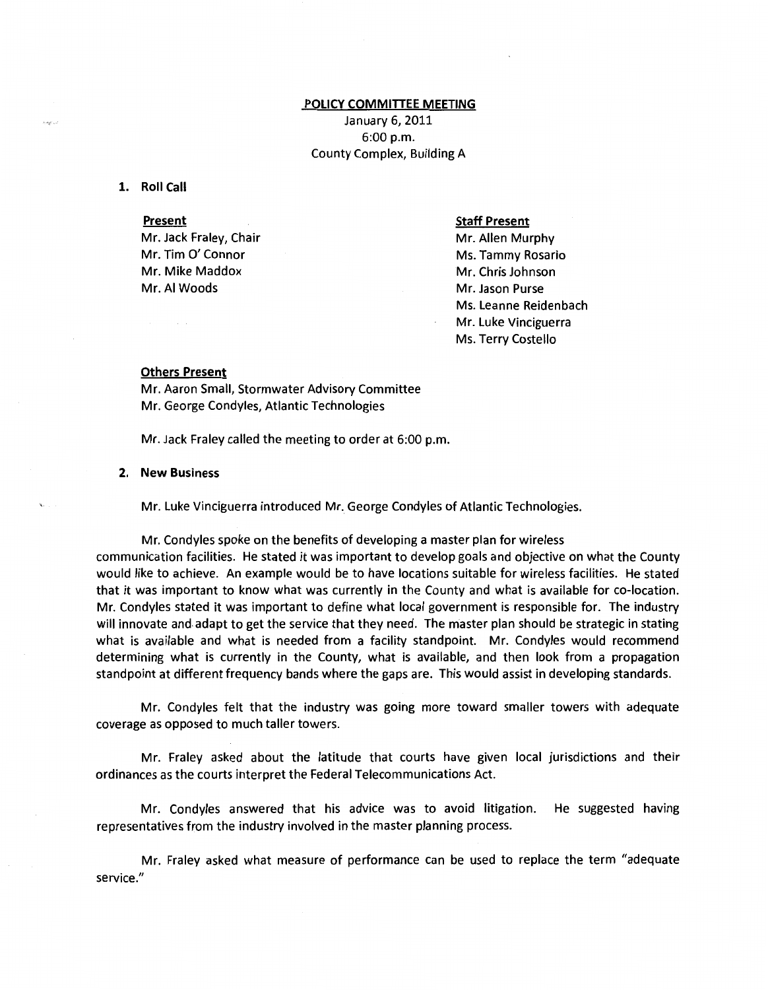# **POLICY COMMITIEE MEETING**  January 6, 2011 6:00p.m. County Complex, Building A

### **1. Roll Call**

### **Present**

Mr. Jack Fraley, Chair Mr. Tim 0' Connor Mr. Mike Maddox Mr. AI Woods

### **Staff Present**

Mr. Allen Murphy Ms. Tammy Rosario Mr. Chris Johnson Mr. Jason Purse Ms. Leanne Reidenbach Mr. Luke Vinciguerra Ms. Terry Costello

## **Others Present**

Mr. Aaron Small, Stormwater Advisory Committee Mr. George Condyles, Atlantic Technologies

Mr. Jack Fraley called the meeting to order at 6:00 p.m.

#### **2. New Business**

Mr. Luke Vinciguerra introduced Mr. George Condyles of Atlantic Technologies.

Mr. Condyles spoke on the benefits of developing a master plan for wireless communication facilities. He stated it was important to develop goals and objective on what the County would like to achieve. An example would be to have locations suitable for wireless facilities. He stated that it was important to know what was currently in the County and what is available for co-location. Mr. Condyles stated it was important to define what local government is responsible for. The industry will innovate and adapt to get the service that they need. The master plan should be strategic in stating what is available and what is needed from a facility standpoint. Mr. Condyles would recommend determining what is currently in the County, what is available, and then look from a propagation standpoint at different frequency bands where the gaps are. This would assist in developing standards.

Mr. Condyles felt that the industry was going more toward smaller towers with adequate coverage as opposed to much taller towers.

Mr. Fraley asked about the latitude that courts have given local jurisdictions and their ordinances as the courts interpret the Federal Telecommunications Act.

Mr. Condyles answered that his advice was to avoid litigation. He suggested having representatives from the industry involved in the master planning process.

Mr. Fraley asked what measure of performance can be used to replace the term "adequate service."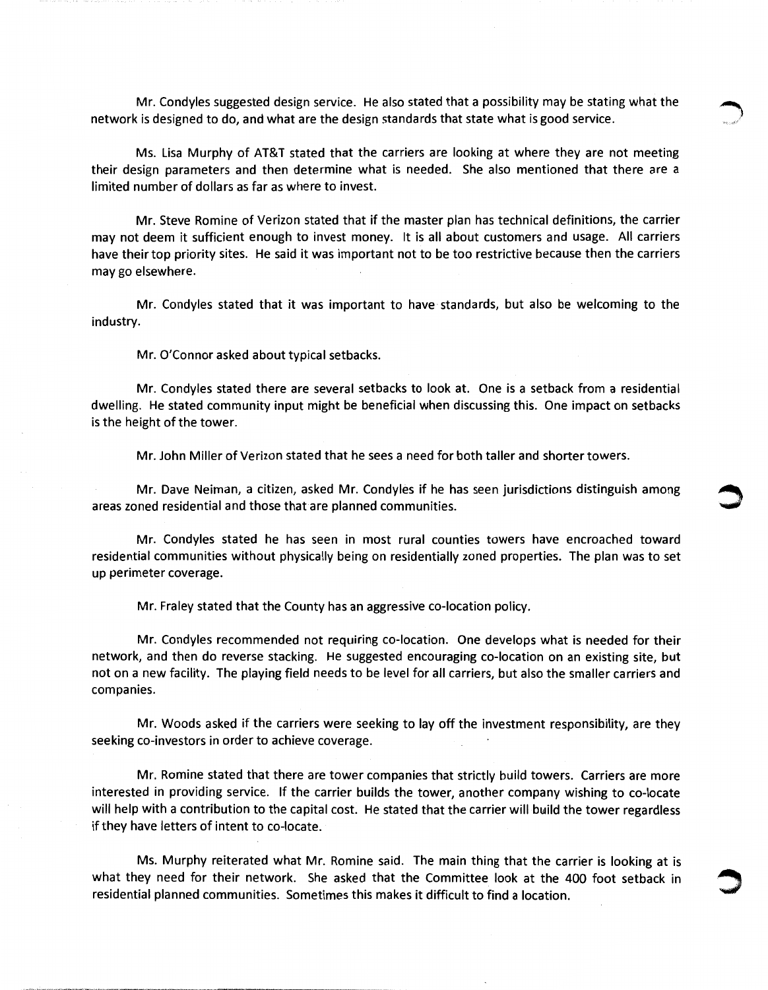Mr. Condyles suggested design service. He also stated that a possibility may be stating what the network is designed to do, and what are the design standards that state what is good service.

Ms. Lisa Murphy of AT&T stated that the carriers are looking at where they are not meeting their design parameters and then determine what is needed. She also mentioned that there are a limited number of dollars as far as where to invest.

Mr. Steve Romine of Verizon stated that if the master plan has technical definitions, the carrier may not deem it sufficient enough to invest money. It is all about customers and usage. All carriers have their top priority sites. He said it was important not to be too restrictive because then the carriers may go elsewhere.

Mr. Condyles stated that it was important to have standards, but also be welcoming to the industry.

Mr. O'Connor asked about typical setbacks.

Mr. Condyles stated there are several setbacks to look at. One is a setback from a residential dwelling. He stated community input might be beneficial when discussing this. One impact on setbacks is the height of the tower.

Mr. John Miller of Verizon stated that he sees a need for both taller and shorter towers.

Mr. Dave Neiman, a citizen, asked Mr. Condyles if he has seen jurisdictions distinguish among areas zoned residential and those that are planned communities.

Mr. Condyles stated he has seen in most rural counties towers have encroached toward residential communities without physically being on residentially zoned properties. The plan was to set up perimeter coverage.

Mr. Fraley stated that the County has an aggressive co-location policy.

Mr. Condyles recommended not requiring co-location. One develops what is needed for their network, and then do reverse stacking. He suggested encouraging co-location on an existing site, but not on a new facility. The playing field needs to be level for all carriers, but also the smaller carriers and companies.

Mr. Woods asked if the carriers were seeking to lay off the investment responsibility, are they seeking co-investors in order to achieve coverage.

Mr. Romine stated that there are tower companies that strictly build towers. Carriers are more interested in providing service. If the carrier builds the tower, another company wishing to co-locate will help with a contribution to the capital cost. He stated that the carrier will build the tower regardless if they have letters of intent to co-locate.

Ms. Murphy reiterated what Mr. Romine said. The main thing that the carrier is looking at is what they need for their network. She asked that the Committee look at the 400 foot setback in residential planned communities. Sometimes this makes it difficult to find a location.

~~-----------------~~-~------- ~-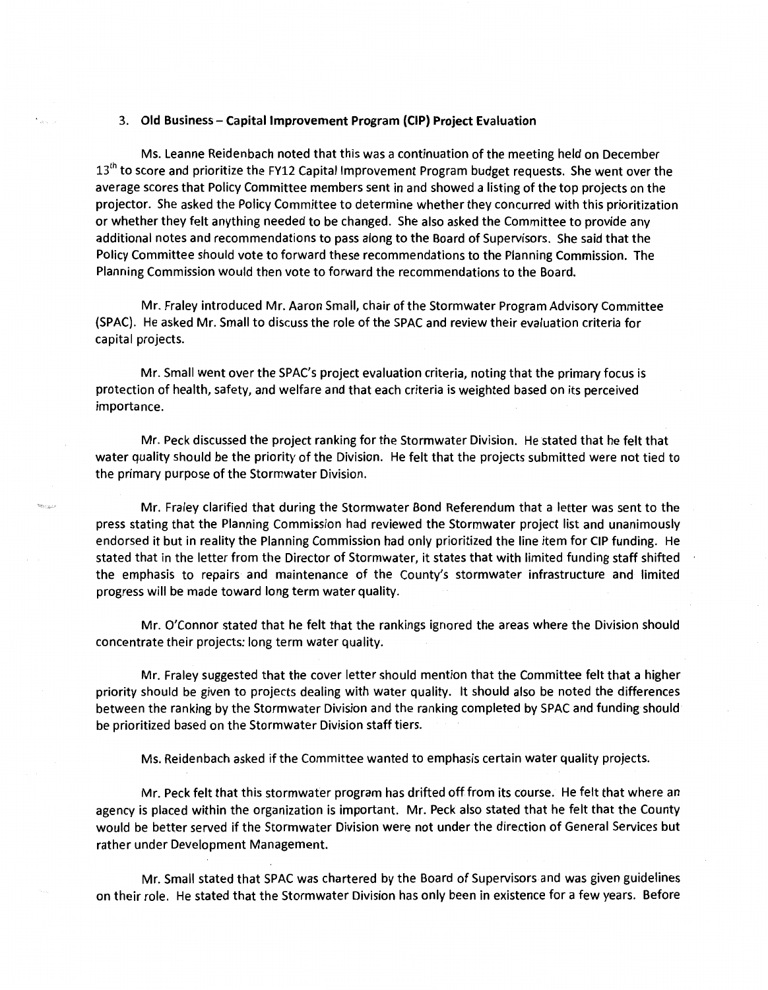#### 3. Old Business- Capital Improvement Program (CIP) Project Evaluation

 $\epsilon$ 

Ms. Leanne Reidenbach noted that this was a continuation of the meeting held on December  $13<sup>th</sup>$  to score and prioritize the FY12 Capital Improvement Program budget requests. She went over the average scores that Policy Committee members sent in and showed a listing of the top projects on the projector. She asked the Policy Committee to determine whether they concurred with this prioritization or whether they felt anything needed to be changed. She also asked the Committee to provide any additional notes and recommendations to pass along to the Board of Supervisors. She said that the Policy Committee should vote to forward these recommendations to the Planning Commission. The Planning Commission would then vote to forward the recommendations to the Board.

Mr. Fraley introduced Mr. Aaron Small, chair ofthe Stormwater Program Advisory Committee (SPAC). He asked Mr. Small to discuss the role of the SPAC and review their evaluation criteria for capital projects.

Mr. Small went over the SPAC's project evaluation criteria, noting that the primary focus is protection of health, safety, and welfare and that each criteria is weighted based on its perceived importance.

Mr. Peck discussed the project ranking for the Stormwater Division. He stated that he felt that water quality should be the priority of the Division. He felt that the projects submitted were not tied to the primary purpose of the Stormwater Division.

Mr. Fraley clarified that during the Stormwater Bond Referendum that a letter was sent to the press stating that the Planning Commission had reviewed the Stormwater project list and unanimously endorsed it but in reality the Planning Commission had only prioritized the line item for CIP funding. He stated that in the letter from the Director of Stormwater, it states that with limited funding staff shifted the emphasis to repairs and maintenance of the County's stormwater infrastructure and limited progress will be made toward long term water quality.

Mr. O'Connor stated that he felt that the rankings ignored the areas where the Division should concentrate their projects: long term water quality.

Mr. Fraley suggested that the cover letter should mention that the Committee felt that a higher priority should be given to projects dealing with water quality. It should also be noted the differences between the ranking by the Stormwater Division and the ranking completed by SPAC and funding should be prioritized based on the Stormwater Division staff tiers.

Ms. Reidenbach asked if the Committee wanted to emphasis certain water quality projects.

Mr. Peck felt that this stormwater program has drifted off from its course. He felt that where an agency is placed within the organization is important. Mr. Peck also stated that he felt that the County would be better served if the Stormwater Division were not under the direction of General Services but rather under Development Management.

Mr. Small stated that SPAC was chartered by the Board of Supervisors and was given guidelines on their role. He stated that the Stormwater Division has only been in existence for a few years. Before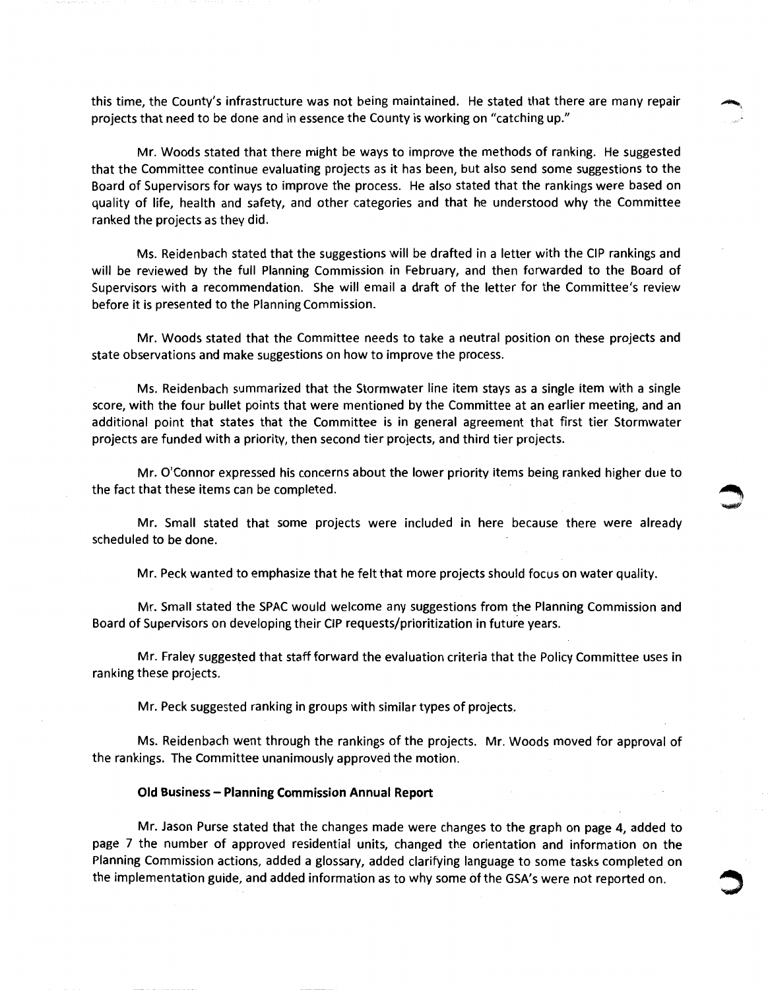this time, the County's infrastructure was not being maintained. He stated that there are many repair projects that need to be done and in essence the County is working on "catching up."

Mr. Woods stated that there might be ways to improve the methods of ranking. He suggested that the Committee continue evaluating projects as it has been, but also send some suggestions to the Board of Supervisors for ways to improve the process. He also stated that the rankings were based on quality of life, health and safety, and other categories and that he understood why the Committee ranked the projects as they did.

Ms. Reidenbach stated that the suggestions will be drafted in a letter with the CIP rankings and will be reviewed by the full Planning Commission in February, and then forwarded to the Board of Supervisors with a recommendation. She will email a draft of the letter for the Committee's review before it is presented to the Planning Commission.

Mr. Woods stated that the Committee needs to take a neutral position on these projects and state observations and make suggestions on how to improve the process.

Ms. Reidenbach summarized that the Stormwater line item stays as a single item with a single score, with the four bullet points that were mentioned by the Committee at an earlier meeting, and an additional point that states that the Committee is in general agreement that first tier Stormwater projects are funded with a priority, then second tier projects, and third tier projects.

Mr. O'Connor expressed his concerns about the lower priority items being ranked higher due to the fact that these items can be completed.

Mr. Small stated that some projects were included in here because there were already scheduled to be done.

Mr. Peck wanted to emphasize that he felt that more projects should focus on water quality.

Mr. Small stated the SPAC would welcome any suggestions from the Planning Commission and Board of Supervisors on developing their CIP requests/prioritization in future years.

Mr. Fraley suggested that staff forward the evaluation criteria that the Policy Committee uses in ranking these projects.

Mr. Peck suggested ranking in groups with similar types of projects.

Ms. Reidenbach went through the rankings of the projects. Mr. Woods moved for approval of the rankings. The Committee unanimously approved the motion.

#### **Old Business- Planning Commission Annual Report**

Mr. Jason Purse stated that the changes made were changes to the graph on page 4, added to page 7 the number of approved residential units, changed the orientation and information on the Planning Commission actions, added a glossary, added clarifying language to some tasks completed on the implementation guide, and added information as to why some of the GSA's were not reported on. ~